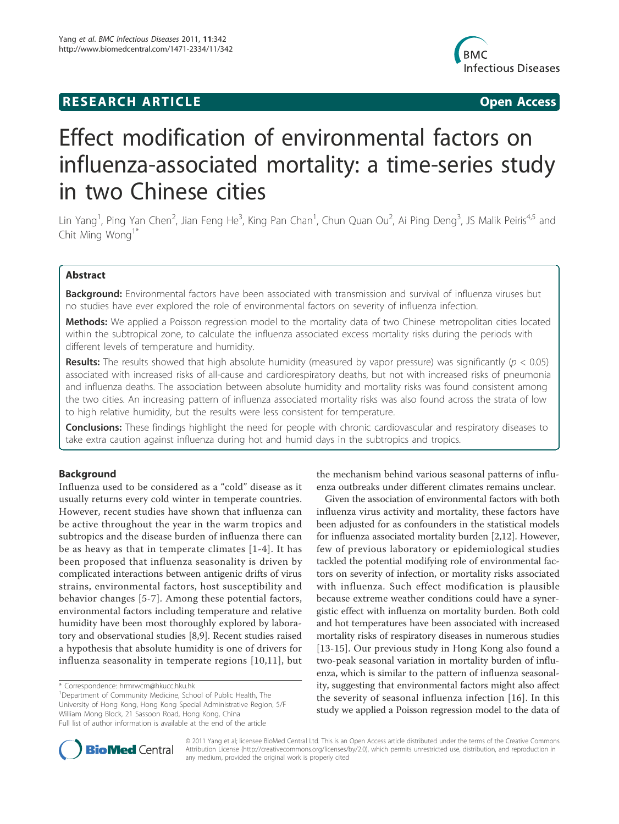## **RESEARCH ARTICLE Example 2018 CONSIDERING ACCESS**



# Effect modification of environmental factors on influenza-associated mortality: a time-series study in two Chinese cities

Lin Yang<sup>1</sup>, Ping Yan Chen<sup>2</sup>, Jian Feng He<sup>3</sup>, King Pan Chan<sup>1</sup>, Chun Quan Ou<sup>2</sup>, Ai Ping Deng<sup>3</sup>, JS Malik Peiris<sup>4,5</sup> and Chit Ming Wong<sup>1\*</sup>

## Abstract

Background: Environmental factors have been associated with transmission and survival of influenza viruses but no studies have ever explored the role of environmental factors on severity of influenza infection.

Methods: We applied a Poisson regression model to the mortality data of two Chinese metropolitan cities located within the subtropical zone, to calculate the influenza associated excess mortality risks during the periods with different levels of temperature and humidity.

**Results:** The results showed that high absolute humidity (measured by vapor pressure) was significantly ( $p < 0.05$ ) associated with increased risks of all-cause and cardiorespiratory deaths, but not with increased risks of pneumonia and influenza deaths. The association between absolute humidity and mortality risks was found consistent among the two cities. An increasing pattern of influenza associated mortality risks was also found across the strata of low to high relative humidity, but the results were less consistent for temperature.

**Conclusions:** These findings highlight the need for people with chronic cardiovascular and respiratory diseases to take extra caution against influenza during hot and humid days in the subtropics and tropics.

## Background

Influenza used to be considered as a "cold" disease as it usually returns every cold winter in temperate countries. However, recent studies have shown that influenza can be active throughout the year in the warm tropics and subtropics and the disease burden of influenza there can be as heavy as that in temperate climates [1-4]. It has been proposed that influenza seasonality is driven by complicated interactions between antigenic drifts of virus strains, environmental factors, host susceptibility and behavior changes [5-7]. Among these potential factors, environmental factors including temperature and relative humidity have been most thoroughly explored by laboratory and observational studies [8,9]. Recent studies raised a hypothesis that absolute humidity is one of drivers for influenza seasonality in temperate regions [10,11], but

\* Correspondence: hrmrwcm@hkucc.hku.hk

<sup>1</sup>Department of Community Medicine, School of Public Health, The University of Hong Kong, Hong Kong Special Administrative Region, 5/F William Mong Block, 21 Sassoon Road, Hong Kong, China Full list of author information is available at the end of the article

the mechanism behind various seasonal patterns of influenza outbreaks under different climates remains unclear.

Given the association of environmental factors with both influenza virus activity and mortality, these factors have been adjusted for as confounders in the statistical models for influenza associated mortality burden [2,12]. However, few of previous laboratory or epidemiological studies tackled the potential modifying role of environmental factors on severity of infection, or mortality risks associated with influenza. Such effect modification is plausible because extreme weather conditions could have a synergistic effect with influenza on mortality burden. Both cold and hot temperatures have been associated with increased mortality risks of respiratory diseases in numerous studies [13-15]. Our previous study in Hong Kong also found a two-peak seasonal variation in mortality burden of influenza, which is similar to the pattern of influenza seasonality, suggesting that environmental factors might also affect the severity of seasonal influenza infection [16]. In this study we applied a Poisson regression model to the data of



© 2011 Yang et al; licensee BioMed Central Ltd. This is an Open Access article distributed under the terms of the Creative Commons Attribution License (http://creativecommons.org/licenses/by/2.0), which permits unrestricted use, distribution, and reproduction in any medium, provided the original work is properly cited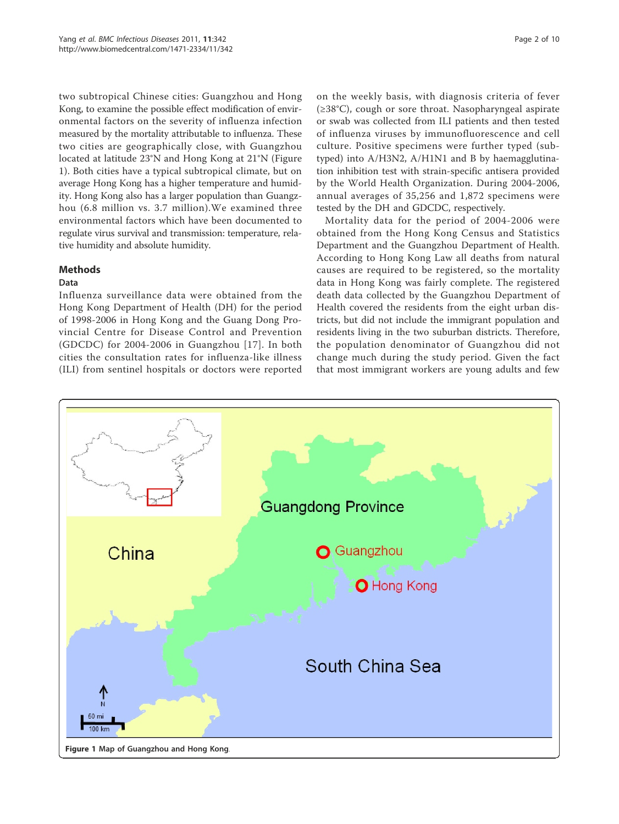two subtropical Chinese cities: Guangzhou and Hong Kong, to examine the possible effect modification of environmental factors on the severity of influenza infection measured by the mortality attributable to influenza. These two cities are geographically close, with Guangzhou located at latitude 23°N and Hong Kong at 21°N (Figure 1). Both cities have a typical subtropical climate, but on average Hong Kong has a higher temperature and humidity. Hong Kong also has a larger population than Guangzhou (6.8 million vs. 3.7 million).We examined three environmental factors which have been documented to regulate virus survival and transmission: temperature, relative humidity and absolute humidity.

## Methods

## Data

Influenza surveillance data were obtained from the Hong Kong Department of Health (DH) for the period of 1998-2006 in Hong Kong and the Guang Dong Provincial Centre for Disease Control and Prevention (GDCDC) for 2004-2006 in Guangzhou [17]. In both cities the consultation rates for influenza-like illness (ILI) from sentinel hospitals or doctors were reported on the weekly basis, with diagnosis criteria of fever (≥38°C), cough or sore throat. Nasopharyngeal aspirate or swab was collected from ILI patients and then tested of influenza viruses by immunofluorescence and cell culture. Positive specimens were further typed (subtyped) into A/H3N2, A/H1N1 and B by haemagglutination inhibition test with strain-specific antisera provided by the World Health Organization. During 2004-2006, annual averages of 35,256 and 1,872 specimens were tested by the DH and GDCDC, respectively.

Mortality data for the period of 2004-2006 were obtained from the Hong Kong Census and Statistics Department and the Guangzhou Department of Health. According to Hong Kong Law all deaths from natural causes are required to be registered, so the mortality data in Hong Kong was fairly complete. The registered death data collected by the Guangzhou Department of Health covered the residents from the eight urban districts, but did not include the immigrant population and residents living in the two suburban districts. Therefore, the population denominator of Guangzhou did not change much during the study period. Given the fact that most immigrant workers are young adults and few

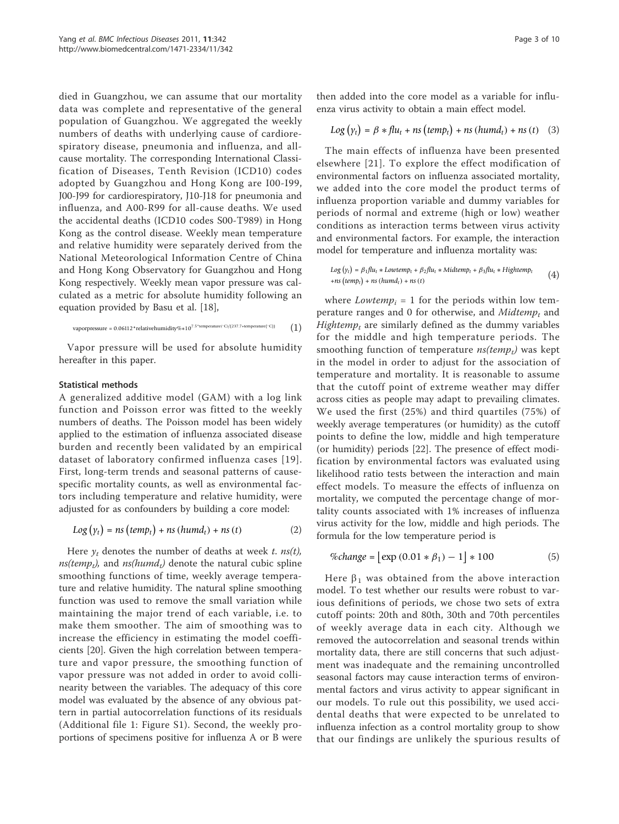died in Guangzhou, we can assume that our mortality data was complete and representative of the general population of Guangzhou. We aggregated the weekly numbers of deaths with underlying cause of cardiorespiratory disease, pneumonia and influenza, and allcause mortality. The corresponding International Classification of Diseases, Tenth Revision (ICD10) codes adopted by Guangzhou and Hong Kong are I00-I99, J00-J99 for cardiorespiratory, J10-J18 for pneumonia and influenza, and A00-R99 for all-cause deaths. We used the accidental deaths (ICD10 codes S00-T989) in Hong Kong as the control disease. Weekly mean temperature and relative humidity were separately derived from the National Meteorological Information Centre of China and Hong Kong Observatory for Guangzhou and Hong Kong respectively. Weekly mean vapor pressure was calculated as a metric for absolute humidity following an equation provided by Basu et al. [18],

$$
vapor pressure = 0.06112*relative humidity\%*10^{7.5*temperature(^{\circ}C)/(237.7+temperature(^{\circ}C))} \qquad \qquad (1)
$$

Vapor pressure will be used for absolute humidity hereafter in this paper.

### Statistical methods

A generalized additive model (GAM) with a log link function and Poisson error was fitted to the weekly numbers of deaths. The Poisson model has been widely applied to the estimation of influenza associated disease burden and recently been validated by an empirical dataset of laboratory confirmed influenza cases [19]. First, long-term trends and seasonal patterns of causespecific mortality counts, as well as environmental factors including temperature and relative humidity, were adjusted for as confounders by building a core model:

$$
Log(yt) = ns (tempt) + ns (humdt) + ns (t)
$$
 (2)

Here  $y_t$  denotes the number of deaths at week t. ns(t),  $ns(temp_t)$ , and  $ns(hum_d)$  denote the natural cubic spline smoothing functions of time, weekly average temperature and relative humidity. The natural spline smoothing function was used to remove the small variation while maintaining the major trend of each variable, i.e. to make them smoother. The aim of smoothing was to increase the efficiency in estimating the model coefficients [20]. Given the high correlation between temperature and vapor pressure, the smoothing function of vapor pressure was not added in order to avoid collinearity between the variables. The adequacy of this core model was evaluated by the absence of any obvious pattern in partial autocorrelation functions of its residuals (Additional file 1: Figure S1). Second, the weekly proportions of specimens positive for influenza A or B were then added into the core model as a variable for influenza virus activity to obtain a main effect model.

$$
Log (y_t) = \beta * flu_t + ns (temp_t) + ns (humd_t) + ns (t)
$$
 (3)

The main effects of influenza have been presented elsewhere [21]. To explore the effect modification of environmental factors on influenza associated mortality, we added into the core model the product terms of influenza proportion variable and dummy variables for periods of normal and extreme (high or low) weather conditions as interaction terms between virus activity and environmental factors. For example, the interaction model for temperature and influenza mortality was:

$$
Log(y_t) = \beta_1 flu_t * Louvtemp_t + \beta_2 flu_t * Midtemp_t + \beta_3 flu_t * Hightemp_t
$$
  
+*ns* (temp<sub>t</sub>) + *ns* (humd<sub>t</sub>) + *ns* (t) (1)

where *Lowtemp*<sub>i</sub> = 1 for the periods within low temperature ranges and 0 for otherwise, and *Midtemp<sub>t</sub>* and *Hightemp<sub>t</sub>* are similarly defined as the dummy variables for the middle and high temperature periods. The smoothing function of temperature  $ns(temp<sub>t</sub>)$  was kept in the model in order to adjust for the association of temperature and mortality. It is reasonable to assume that the cutoff point of extreme weather may differ across cities as people may adapt to prevailing climates. We used the first (25%) and third quartiles (75%) of weekly average temperatures (or humidity) as the cutoff points to define the low, middle and high temperature (or humidity) periods [22]. The presence of effect modification by environmental factors was evaluated using likelihood ratio tests between the interaction and main effect models. To measure the effects of influenza on mortality, we computed the percentage change of mortality counts associated with 1% increases of influenza virus activity for the low, middle and high periods. The formula for the low temperature period is

$$
\%change = \left[\exp(0.01 * \beta_1) - 1\right] * 100\tag{5}
$$

Here  $\beta_1$  was obtained from the above interaction model. To test whether our results were robust to various definitions of periods, we chose two sets of extra cutoff points: 20th and 80th, 30th and 70th percentiles of weekly average data in each city. Although we removed the autocorrelation and seasonal trends within mortality data, there are still concerns that such adjustment was inadequate and the remaining uncontrolled seasonal factors may cause interaction terms of environmental factors and virus activity to appear significant in our models. To rule out this possibility, we used accidental deaths that were expected to be unrelated to influenza infection as a control mortality group to show that our findings are unlikely the spurious results of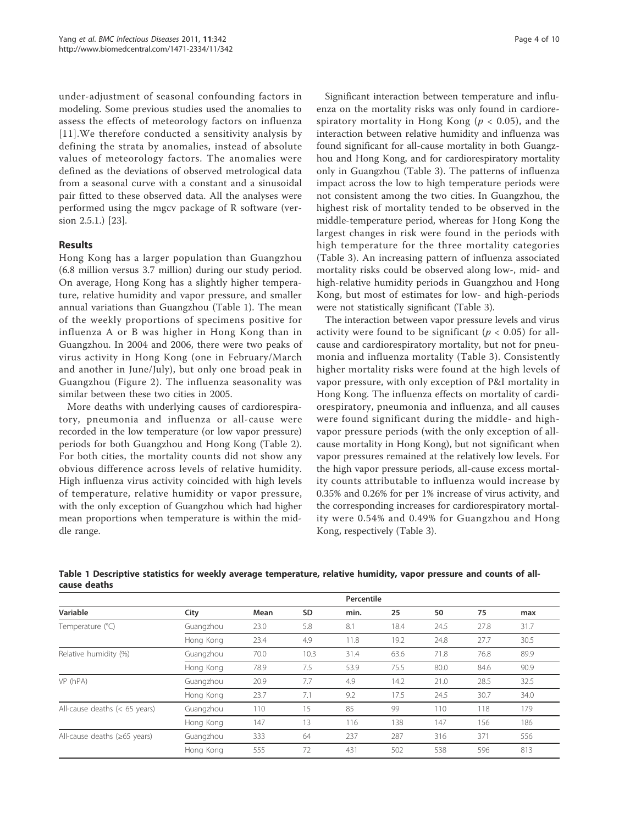under-adjustment of seasonal confounding factors in modeling. Some previous studies used the anomalies to assess the effects of meteorology factors on influenza [11]. We therefore conducted a sensitivity analysis by defining the strata by anomalies, instead of absolute values of meteorology factors. The anomalies were defined as the deviations of observed metrological data from a seasonal curve with a constant and a sinusoidal pair fitted to these observed data. All the analyses were performed using the mgcv package of R software (version 2.5.1.) [23].

## Results

Hong Kong has a larger population than Guangzhou (6.8 million versus 3.7 million) during our study period. On average, Hong Kong has a slightly higher temperature, relative humidity and vapor pressure, and smaller annual variations than Guangzhou (Table 1). The mean of the weekly proportions of specimens positive for influenza A or B was higher in Hong Kong than in Guangzhou. In 2004 and 2006, there were two peaks of virus activity in Hong Kong (one in February/March and another in June/July), but only one broad peak in Guangzhou (Figure 2). The influenza seasonality was similar between these two cities in 2005.

More deaths with underlying causes of cardiorespiratory, pneumonia and influenza or all-cause were recorded in the low temperature (or low vapor pressure) periods for both Guangzhou and Hong Kong (Table 2). For both cities, the mortality counts did not show any obvious difference across levels of relative humidity. High influenza virus activity coincided with high levels of temperature, relative humidity or vapor pressure, with the only exception of Guangzhou which had higher mean proportions when temperature is within the middle range.

Significant interaction between temperature and influenza on the mortality risks was only found in cardiorespiratory mortality in Hong Kong ( $p < 0.05$ ), and the interaction between relative humidity and influenza was found significant for all-cause mortality in both Guangzhou and Hong Kong, and for cardiorespiratory mortality only in Guangzhou (Table 3). The patterns of influenza impact across the low to high temperature periods were not consistent among the two cities. In Guangzhou, the highest risk of mortality tended to be observed in the middle-temperature period, whereas for Hong Kong the largest changes in risk were found in the periods with high temperature for the three mortality categories (Table 3). An increasing pattern of influenza associated mortality risks could be observed along low-, mid- and high-relative humidity periods in Guangzhou and Hong Kong, but most of estimates for low- and high-periods were not statistically significant (Table 3).

The interaction between vapor pressure levels and virus activity were found to be significant ( $p < 0.05$ ) for allcause and cardiorespiratory mortality, but not for pneumonia and influenza mortality (Table 3). Consistently higher mortality risks were found at the high levels of vapor pressure, with only exception of P&I mortality in Hong Kong. The influenza effects on mortality of cardiorespiratory, pneumonia and influenza, and all causes were found significant during the middle- and highvapor pressure periods (with the only exception of allcause mortality in Hong Kong), but not significant when vapor pressures remained at the relatively low levels. For the high vapor pressure periods, all-cause excess mortality counts attributable to influenza would increase by 0.35% and 0.26% for per 1% increase of virus activity, and the corresponding increases for cardiorespiratory mortality were 0.54% and 0.49% for Guangzhou and Hong Kong, respectively (Table 3).

|                                    |           |      |      | Percentile |      |      |      |      |
|------------------------------------|-----------|------|------|------------|------|------|------|------|
| Variable                           | City      | Mean | SD   | min.       | 25   | 50   | 75   | max  |
| Temperature (°C)                   | Guangzhou | 23.0 | 5.8  | 8.1        | 18.4 | 24.5 | 27.8 | 31.7 |
|                                    | Hong Kong | 23.4 | 4.9  | 11.8       | 19.2 | 24.8 | 27.7 | 30.5 |
| Relative humidity (%)              | Guangzhou | 70.0 | 10.3 | 31.4       | 63.6 | 71.8 | 76.8 | 89.9 |
|                                    | Hong Kong | 78.9 | 7.5  | 53.9       | 75.5 | 80.0 | 84.6 | 90.9 |
| VP (hPA)                           | Guangzhou | 20.9 | 7.7  | 4.9        | 14.2 | 21.0 | 28.5 | 32.5 |
|                                    | Hong Kong | 23.7 | 7.1  | 9.2        | 17.5 | 24.5 | 30.7 | 34.0 |
| All-cause deaths $(< 65$ years)    | Guangzhou | 110  | 15   | 85         | 99   | 110  | 118  | 179  |
|                                    | Hong Kong | 147  | 13   | 116        | 138  | 147  | 156  | 186  |
| All-cause deaths $(\geq 65$ years) | Guangzhou | 333  | 64   | 237        | 287  | 316  | 371  | 556  |
|                                    | Hong Kong | 555  | 72   | 431        | 502  | 538  | 596  | 813  |

Table 1 Descriptive statistics for weekly average temperature, relative humidity, vapor pressure and counts of allcause deaths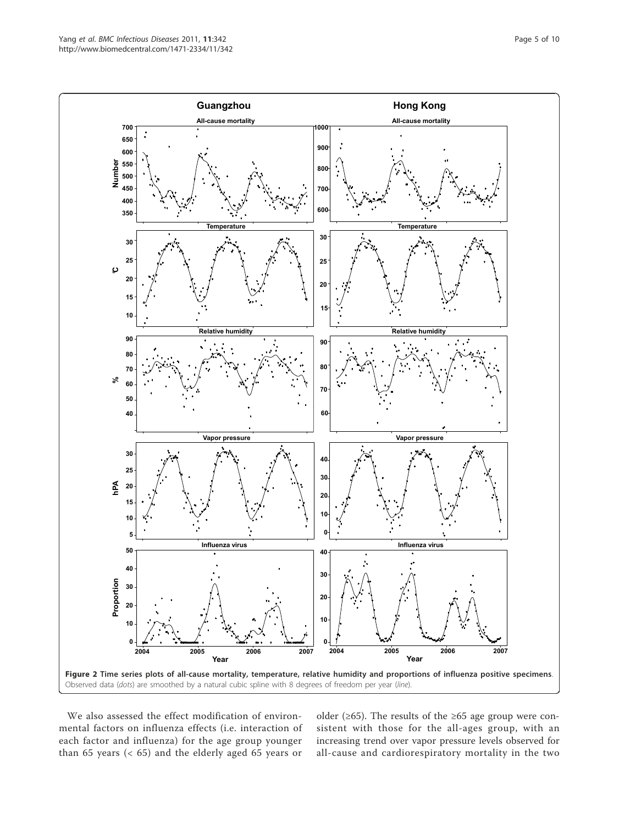

We also assessed the effect modification of environmental factors on influenza effects (i.e. interaction of each factor and influenza) for the age group younger than 65 years (< 65) and the elderly aged 65 years or

older ( $\geq 65$ ). The results of the  $\geq 65$  age group were consistent with those for the all-ages group, with an increasing trend over vapor pressure levels observed for all-cause and cardiorespiratory mortality in the two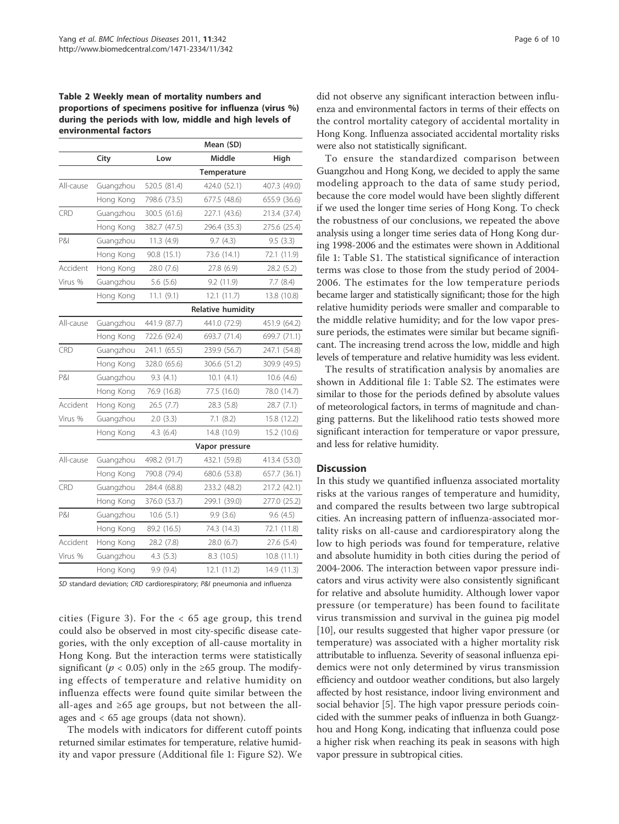Table 2 Weekly mean of mortality numbers and proportions of specimens positive for influenza (virus %) during the periods with low, middle and high levels of environmental factors

| Low<br>520.5 (81.4)<br>798.6 (73.5)<br>300.5 (61.6)<br>382.7 (47.5) | <b>Middle</b><br>Temperature<br>424.0 (52.1)<br>677.5 (48.6)<br>227.1 (43.6)<br>296.4 (35.3)                                                                                                                                                                                             | High<br>407.3 (49.0)<br>655.9 (36.6)<br>213.4 (37.4)<br>275.6 (25.4) |  |  |  |
|---------------------------------------------------------------------|------------------------------------------------------------------------------------------------------------------------------------------------------------------------------------------------------------------------------------------------------------------------------------------|----------------------------------------------------------------------|--|--|--|
|                                                                     |                                                                                                                                                                                                                                                                                          |                                                                      |  |  |  |
|                                                                     |                                                                                                                                                                                                                                                                                          |                                                                      |  |  |  |
|                                                                     |                                                                                                                                                                                                                                                                                          |                                                                      |  |  |  |
|                                                                     |                                                                                                                                                                                                                                                                                          |                                                                      |  |  |  |
|                                                                     |                                                                                                                                                                                                                                                                                          |                                                                      |  |  |  |
|                                                                     |                                                                                                                                                                                                                                                                                          |                                                                      |  |  |  |
|                                                                     |                                                                                                                                                                                                                                                                                          | 9.5(3.3)                                                             |  |  |  |
|                                                                     | 73.6 (14.1)                                                                                                                                                                                                                                                                              | 72.1 (11.9)                                                          |  |  |  |
| 28.0 (7.6)<br>27.8 (6.9)                                            |                                                                                                                                                                                                                                                                                          | 28.2 (5.2)                                                           |  |  |  |
|                                                                     | 9.2 (11.9)                                                                                                                                                                                                                                                                               | 7.7(8.4)                                                             |  |  |  |
|                                                                     | 12.1(11.7)                                                                                                                                                                                                                                                                               | 13.8 (10.8)                                                          |  |  |  |
| <b>Relative humidity</b>                                            |                                                                                                                                                                                                                                                                                          |                                                                      |  |  |  |
|                                                                     | 441.0 (72.9)                                                                                                                                                                                                                                                                             | 451.9 (64.2)                                                         |  |  |  |
|                                                                     | 693.7 (71.4)                                                                                                                                                                                                                                                                             | 699.7 (71.1)                                                         |  |  |  |
|                                                                     | 239.9 (56.7)                                                                                                                                                                                                                                                                             | 247.1 (54.8)                                                         |  |  |  |
|                                                                     | 306.6 (51.2)                                                                                                                                                                                                                                                                             | 309.9 (49.5)                                                         |  |  |  |
|                                                                     | 10.1(4.1)                                                                                                                                                                                                                                                                                | 10.6(4.6)                                                            |  |  |  |
|                                                                     | 77.5 (16.0)                                                                                                                                                                                                                                                                              | 78.0 (14.7)                                                          |  |  |  |
|                                                                     | 28.3 (5.8)                                                                                                                                                                                                                                                                               | 28.7 (7.1)                                                           |  |  |  |
|                                                                     | 7.1(8.2)                                                                                                                                                                                                                                                                                 | 15.8 (12.2)                                                          |  |  |  |
|                                                                     | 14.8 (10.9)                                                                                                                                                                                                                                                                              | 15.2 (10.6)                                                          |  |  |  |
|                                                                     | Vapor pressure                                                                                                                                                                                                                                                                           |                                                                      |  |  |  |
|                                                                     | 432.1 (59.8)                                                                                                                                                                                                                                                                             | 413.4 (53.0)                                                         |  |  |  |
|                                                                     | 680.6 (53.8)                                                                                                                                                                                                                                                                             | 657.7 (36.1)                                                         |  |  |  |
|                                                                     | 233.2 (48.2)                                                                                                                                                                                                                                                                             | 217.2 (42.1)                                                         |  |  |  |
|                                                                     | 299.1 (39.0)                                                                                                                                                                                                                                                                             | 277.0 (25.2)                                                         |  |  |  |
|                                                                     | 9.9(3.6)                                                                                                                                                                                                                                                                                 | 9.6(4.5)                                                             |  |  |  |
|                                                                     | 74.3 (14.3)                                                                                                                                                                                                                                                                              | 72.1 (11.8)                                                          |  |  |  |
| Accident<br>Hong Kong<br>28.2 (7.8)                                 |                                                                                                                                                                                                                                                                                          | 27.6 (5.4)                                                           |  |  |  |
|                                                                     | 8.3 (10.5)                                                                                                                                                                                                                                                                               | 10.8(11.1)                                                           |  |  |  |
|                                                                     | 12.1(11.2)                                                                                                                                                                                                                                                                               | 14.9 (11.3)                                                          |  |  |  |
|                                                                     | 90.8 (15.1)<br>5.6(5.6)<br>11.1(9.1)<br>441.9 (87.7)<br>722.6 (92.4)<br>241.1 (65.5)<br>328.0 (65.6)<br>9.3(4.1)<br>76.9 (16.8)<br>26.5(7.7)<br>2.0(3.3)<br>4.3(6.4)<br>498.2 (91.7)<br>790.8 (79.4)<br>284.4 (68.8)<br>376.0 (53.7)<br>10.6(5.1)<br>89.2 (16.5)<br>4.3(5.3)<br>9.9(9.4) | 11.3 (4.9)<br>9.7(4.3)<br>28.0 (6.7)                                 |  |  |  |

SD standard deviation; CRD cardiorespiratory; P&I pneumonia and influenza

cities (Figure 3). For the < 65 age group, this trend could also be observed in most city-specific disease categories, with the only exception of all-cause mortality in Hong Kong. But the interaction terms were statistically significant ( $p < 0.05$ ) only in the ≥65 group. The modifying effects of temperature and relative humidity on influenza effects were found quite similar between the all-ages and  $\geq 65$  age groups, but not between the allages and < 65 age groups (data not shown).

The models with indicators for different cutoff points returned similar estimates for temperature, relative humidity and vapor pressure (Additional file 1: Figure S2). We did not observe any significant interaction between influenza and environmental factors in terms of their effects on the control mortality category of accidental mortality in Hong Kong. Influenza associated accidental mortality risks were also not statistically significant.

To ensure the standardized comparison between Guangzhou and Hong Kong, we decided to apply the same modeling approach to the data of same study period, because the core model would have been slightly different if we used the longer time series of Hong Kong. To check the robustness of our conclusions, we repeated the above analysis using a longer time series data of Hong Kong during 1998-2006 and the estimates were shown in Additional file 1: Table S1. The statistical significance of interaction terms was close to those from the study period of 2004- 2006. The estimates for the low temperature periods became larger and statistically significant; those for the high relative humidity periods were smaller and comparable to the middle relative humidity; and for the low vapor pressure periods, the estimates were similar but became significant. The increasing trend across the low, middle and high levels of temperature and relative humidity was less evident.

The results of stratification analysis by anomalies are shown in Additional file 1: Table S2. The estimates were similar to those for the periods defined by absolute values of meteorological factors, in terms of magnitude and changing patterns. But the likelihood ratio tests showed more significant interaction for temperature or vapor pressure, and less for relative humidity.

#### **Discussion**

In this study we quantified influenza associated mortality risks at the various ranges of temperature and humidity, and compared the results between two large subtropical cities. An increasing pattern of influenza-associated mortality risks on all-cause and cardiorespiratory along the low to high periods was found for temperature, relative and absolute humidity in both cities during the period of 2004-2006. The interaction between vapor pressure indicators and virus activity were also consistently significant for relative and absolute humidity. Although lower vapor pressure (or temperature) has been found to facilitate virus transmission and survival in the guinea pig model [10], our results suggested that higher vapor pressure (or temperature) was associated with a higher mortality risk attributable to influenza. Severity of seasonal influenza epidemics were not only determined by virus transmission efficiency and outdoor weather conditions, but also largely affected by host resistance, indoor living environment and social behavior [5]. The high vapor pressure periods coincided with the summer peaks of influenza in both Guangzhou and Hong Kong, indicating that influenza could pose a higher risk when reaching its peak in seasons with high vapor pressure in subtropical cities.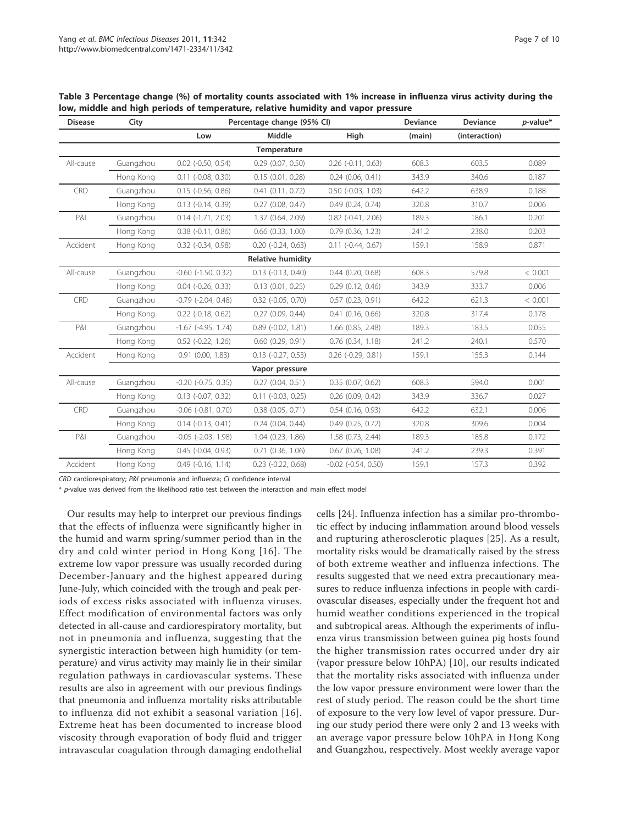| <b>Disease</b> | City      |                              | Percentage change (95% CI) | Deviance                    | <b>Deviance</b> | $p$ -value*   |         |
|----------------|-----------|------------------------------|----------------------------|-----------------------------|-----------------|---------------|---------|
|                |           | Low                          | Middle                     | High                        | (main)          | (interaction) |         |
|                |           |                              | Temperature                |                             |                 |               |         |
| All-cause      | Guangzhou | $0.02$ ( $-0.50$ , $0.54$ )  | $0.29$ $(0.07, 0.50)$      | $0.26$ ( $-0.11$ , $0.63$ ) | 608.3           | 603.5         | 0.089   |
|                | Hong Kong | $0.11$ ( $-0.08$ , $0.30$ )  | 0.15(0.01, 0.28)           | $0.24$ (0.06, 0.41)         | 343.9           | 340.6         | 0.187   |
| CRD            | Guangzhou | $0.15$ (-0.56, 0.86)         | $0.41$ $(0.11, 0.72)$      | $0.50$ ( $-0.03$ , $1.03$ ) | 642.2           | 638.9         | 0.188   |
|                | Hong Kong | $0.13$ ( $-0.14$ , $0.39$ )  | $0.27$ $(0.08, 0.47)$      | 0.49(0.24, 0.74)            | 320.8           | 310.7         | 0.006   |
| P&I            | Guangzhou | $0.14$ ( $-1.71$ , 2.03)     | 1.37 (0.64, 2.09)          | $0.82$ ( $-0.41$ , $2.06$ ) | 189.3           | 186.1         | 0.201   |
|                | Hong Kong | $0.38$ $(-0.11, 0.86)$       | $0.66$ $(0.33, 1.00)$      | 0.79(0.36, 1.23)            | 241.2           | 238.0         | 0.203   |
| Accident       | Hong Kong | $0.32$ ( $-0.34$ , $0.98$ )  | $0.20$ $(-0.24, 0.63)$     | $0.11$ ( $-0.44$ , $0.67$ ) | 159.1           | 158.9         | 0.871   |
|                |           |                              | <b>Relative humidity</b>   |                             |                 |               |         |
| All-cause      | Guangzhou | $-0.60$ $(-1.50, 0.32)$      | $0.13$ $(-0.13, 0.40)$     | $0.44$ $(0.20, 0.68)$       | 608.3           | 579.8         | < 0.001 |
|                | Hong Kong | $0.04$ $(-0.26, 0.33)$       | $0.13$ $(0.01, 0.25)$      | $0.29$ $(0.12, 0.46)$       | 343.9           | 333.7         | 0.006   |
| CRD            | Guangzhou | $-0.79$ $(-2.04, 0.48)$      | $0.32$ $(-0.05, 0.70)$     | 0.57(0.23, 0.91)            | 642.2           | 621.3         | < 0.001 |
|                | Hong Kong | $0.22$ (-0.18, 0.62)         | $0.27$ (0.09, 0.44)        | $0.41$ $(0.16, 0.66)$       | 320.8           | 317.4         | 0.178   |
| <b>P&amp;I</b> | Guangzhou | $-1.67$ ( $-4.95$ , $1.74$ ) | $0.89$ $(-0.02, 1.81)$     | 1.66 (0.85, 2.48)           | 189.3           | 183.5         | 0.055   |
|                | Hong Kong | $0.52$ ( $-0.22$ , 1.26)     | $0.60$ $(0.29, 0.91)$      | $0.76$ $(0.34, 1.18)$       | 241.2           | 240.1         | 0.570   |
| Accident       | Hong Kong | $0.91$ $(0.00, 1.83)$        | $0.13$ $(-0.27, 0.53)$     | $0.26$ ( $-0.29$ , $0.81$ ) | 159.1           | 155.3         | 0.144   |
|                |           |                              | Vapor pressure             |                             |                 |               |         |
| All-cause      | Guangzhou | $-0.20$ $(-0.75, 0.35)$      | 0.27(0.04, 0.51)           | 0.35(0.07, 0.62)            | 608.3           | 594.0         | 0.001   |
|                | Hong Kong | $0.13$ ( $-0.07$ , $0.32$ )  | $0.11$ $(-0.03, 0.25)$     | $0.26$ (0.09, 0.42)         | 343.9           | 336.7         | 0.027   |
| CRD            | Guangzhou | $-0.06$ $(-0.81, 0.70)$      | $0.38$ $(0.05, 0.71)$      | $0.54$ $(0.16, 0.93)$       | 642.2           | 632.1         | 0.006   |
|                | Hong Kong | $0.14$ $(-0.13, 0.41)$       | 0.24(0.04, 0.44)           | $0.49$ $(0.25, 0.72)$       | 320.8           | 309.6         | 0.004   |
| <b>P&amp;I</b> | Guangzhou | $-0.05$ $(-2.03, 1.98)$      | 1.04(0.23, 1.86)           | $1.58$ (0.73, 2.44)         | 189.3           | 185.8         | 0.172   |
|                | Hong Kong | $0.45$ ( $-0.04$ , $0.93$ )  | $0.71$ $(0.36, 1.06)$      | $0.67$ $(0.26, 1.08)$       | 241.2           | 239.3         | 0.391   |
| Accident       | Hong Kong | $0.49$ ( $-0.16$ , $1.14$ )  | $0.23$ $(-0.22, 0.68)$     | $-0.02$ $(-0.54, 0.50)$     | 159.1           | 157.3         | 0.392   |

Table 3 Percentage change (%) of mortality counts associated with 1% increase in influenza virus activity during the low, middle and high periods of temperature, relative humidity and vapor pressure

CRD cardiorespiratory; P&I pneumonia and influenza; CI confidence interval

 $*$  p-value was derived from the likelihood ratio test between the interaction and main effect model

Our results may help to interpret our previous findings that the effects of influenza were significantly higher in the humid and warm spring/summer period than in the dry and cold winter period in Hong Kong [16]. The extreme low vapor pressure was usually recorded during December-January and the highest appeared during June-July, which coincided with the trough and peak periods of excess risks associated with influenza viruses. Effect modification of environmental factors was only detected in all-cause and cardiorespiratory mortality, but not in pneumonia and influenza, suggesting that the synergistic interaction between high humidity (or temperature) and virus activity may mainly lie in their similar regulation pathways in cardiovascular systems. These results are also in agreement with our previous findings that pneumonia and influenza mortality risks attributable to influenza did not exhibit a seasonal variation [16]. Extreme heat has been documented to increase blood viscosity through evaporation of body fluid and trigger intravascular coagulation through damaging endothelial cells [24]. Influenza infection has a similar pro-thrombotic effect by inducing inflammation around blood vessels and rupturing atherosclerotic plaques [25]. As a result, mortality risks would be dramatically raised by the stress of both extreme weather and influenza infections. The results suggested that we need extra precautionary measures to reduce influenza infections in people with cardiovascular diseases, especially under the frequent hot and humid weather conditions experienced in the tropical and subtropical areas. Although the experiments of influenza virus transmission between guinea pig hosts found the higher transmission rates occurred under dry air (vapor pressure below 10hPA) [10], our results indicated that the mortality risks associated with influenza under the low vapor pressure environment were lower than the rest of study period. The reason could be the short time of exposure to the very low level of vapor pressure. During our study period there were only 2 and 13 weeks with an average vapor pressure below 10hPA in Hong Kong and Guangzhou, respectively. Most weekly average vapor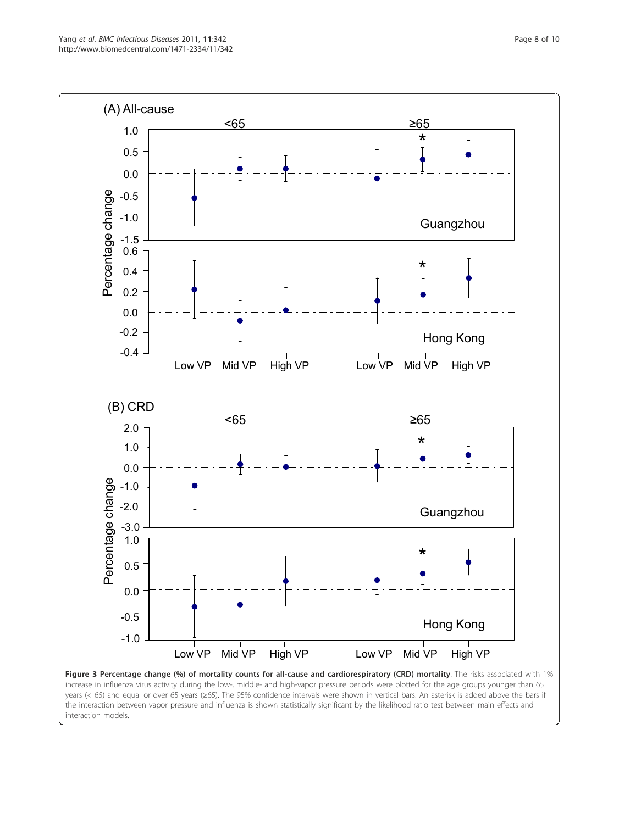

interaction models.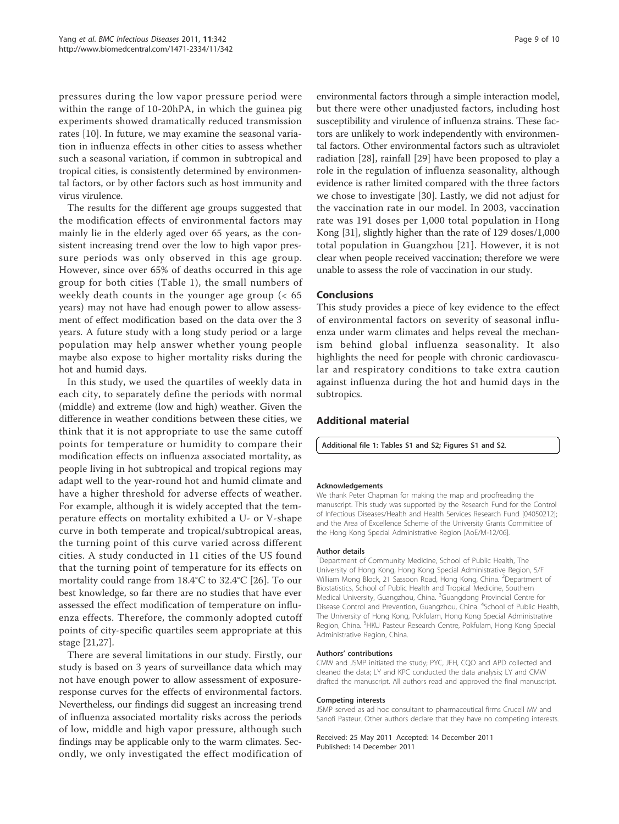pressures during the low vapor pressure period were within the range of 10-20hPA, in which the guinea pig experiments showed dramatically reduced transmission rates [10]. In future, we may examine the seasonal variation in influenza effects in other cities to assess whether such a seasonal variation, if common in subtropical and tropical cities, is consistently determined by environmental factors, or by other factors such as host immunity and virus virulence.

The results for the different age groups suggested that the modification effects of environmental factors may mainly lie in the elderly aged over 65 years, as the consistent increasing trend over the low to high vapor pressure periods was only observed in this age group. However, since over 65% of deaths occurred in this age group for both cities (Table 1), the small numbers of weekly death counts in the younger age group (< 65 years) may not have had enough power to allow assessment of effect modification based on the data over the 3 years. A future study with a long study period or a large population may help answer whether young people maybe also expose to higher mortality risks during the hot and humid days.

In this study, we used the quartiles of weekly data in each city, to separately define the periods with normal (middle) and extreme (low and high) weather. Given the difference in weather conditions between these cities, we think that it is not appropriate to use the same cutoff points for temperature or humidity to compare their modification effects on influenza associated mortality, as people living in hot subtropical and tropical regions may adapt well to the year-round hot and humid climate and have a higher threshold for adverse effects of weather. For example, although it is widely accepted that the temperature effects on mortality exhibited a U- or V-shape curve in both temperate and tropical/subtropical areas, the turning point of this curve varied across different cities. A study conducted in 11 cities of the US found that the turning point of temperature for its effects on mortality could range from 18.4°C to 32.4°C [26]. To our best knowledge, so far there are no studies that have ever assessed the effect modification of temperature on influenza effects. Therefore, the commonly adopted cutoff points of city-specific quartiles seem appropriate at this stage [21,27].

There are several limitations in our study. Firstly, our study is based on 3 years of surveillance data which may not have enough power to allow assessment of exposureresponse curves for the effects of environmental factors. Nevertheless, our findings did suggest an increasing trend of influenza associated mortality risks across the periods of low, middle and high vapor pressure, although such findings may be applicable only to the warm climates. Secondly, we only investigated the effect modification of

environmental factors through a simple interaction model, but there were other unadjusted factors, including host susceptibility and virulence of influenza strains. These factors are unlikely to work independently with environmental factors. Other environmental factors such as ultraviolet radiation [28], rainfall [29] have been proposed to play a role in the regulation of influenza seasonality, although evidence is rather limited compared with the three factors we chose to investigate [30]. Lastly, we did not adjust for the vaccination rate in our model. In 2003, vaccination rate was 191 doses per 1,000 total population in Hong Kong [31], slightly higher than the rate of 129 doses/1,000 total population in Guangzhou [21]. However, it is not clear when people received vaccination; therefore we were unable to assess the role of vaccination in our study.

## Conclusions

This study provides a piece of key evidence to the effect of environmental factors on severity of seasonal influenza under warm climates and helps reveal the mechanism behind global influenza seasonality. It also highlights the need for people with chronic cardiovascular and respiratory conditions to take extra caution against influenza during the hot and humid days in the subtropics.

## Additional material

Additional file 1: Tables S1 and S2; Figures S1 and S2.

#### Acknowledgements

We thank Peter Chapman for making the map and proofreading the manuscript. This study was supported by the Research Fund for the Control of Infectious Diseases/Health and Health Services Research Fund [04050212]; and the Area of Excellence Scheme of the University Grants Committee of the Hong Kong Special Administrative Region [AoE/M-12/06].

#### Author details

<sup>1</sup>Department of Community Medicine, School of Public Health, The University of Hong Kong, Hong Kong Special Administrative Region, 5/F William Mong Block, 21 Sassoon Road, Hong Kong, China. <sup>2</sup>Department of Biostatistics, School of Public Health and Tropical Medicine, Southern Medical University, Guangzhou, China. <sup>3</sup>Guangdong Provincial Centre for Disease Control and Prevention, Guangzhou, China. <sup>4</sup>School of Public Health The University of Hong Kong, Pokfulam, Hong Kong Special Administrative Region, China. <sup>5</sup>HKU Pasteur Research Centre, Pokfulam, Hong Kong Special Administrative Region, China.

#### Authors' contributions

CMW and JSMP initiated the study; PYC, JFH, CQO and APD collected and cleaned the data; LY and KPC conducted the data analysis; LY and CMW drafted the manuscript. All authors read and approved the final manuscript.

#### Competing interests

JSMP served as ad hoc consultant to pharmaceutical firms Crucell MV and Sanofi Pasteur. Other authors declare that they have no competing interests.

Received: 25 May 2011 Accepted: 14 December 2011 Published: 14 December 2011